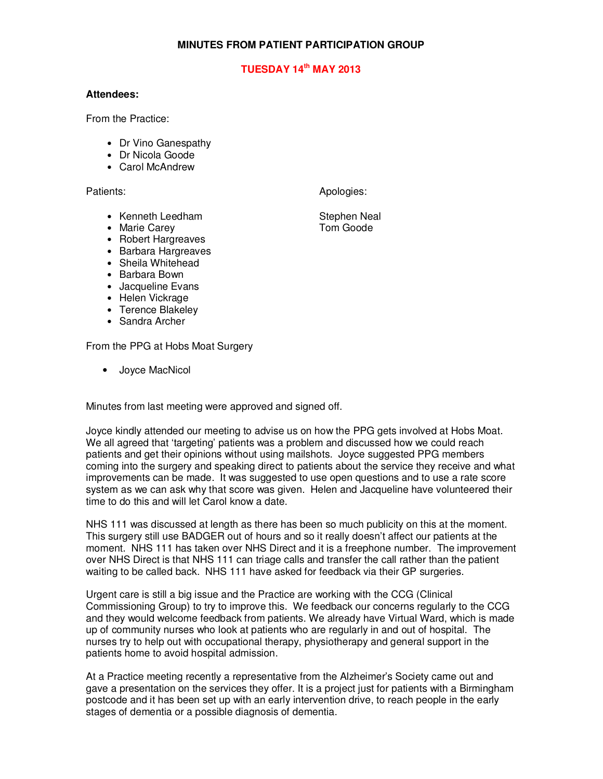## **MINUTES FROM PATIENT PARTICIPATION GROUP**

## **TUESDAY 14th MAY 2013**

## **Attendees:**

From the Practice:

- Dr Vino Ganespathy
- Dr Nicola Goode
- Carol McAndrew

- 
- Marie Carey
- Robert Hargreaves
- Barbara Hargreaves
- Sheila Whitehead
- Barbara Bown
- Jacqueline Evans
- Helen Vickrage
- Terence Blakeley
- Sandra Archer

From the PPG at Hobs Moat Surgery

• Joyce MacNicol

Minutes from last meeting were approved and signed off.

Joyce kindly attended our meeting to advise us on how the PPG gets involved at Hobs Moat. We all agreed that 'targeting' patients was a problem and discussed how we could reach patients and get their opinions without using mailshots. Joyce suggested PPG members coming into the surgery and speaking direct to patients about the service they receive and what improvements can be made. It was suggested to use open questions and to use a rate score system as we can ask why that score was given. Helen and Jacqueline have volunteered their time to do this and will let Carol know a date.

NHS 111 was discussed at length as there has been so much publicity on this at the moment. This surgery still use BADGER out of hours and so it really doesn't affect our patients at the moment. NHS 111 has taken over NHS Direct and it is a freephone number. The improvement over NHS Direct is that NHS 111 can triage calls and transfer the call rather than the patient waiting to be called back. NHS 111 have asked for feedback via their GP surgeries.

Urgent care is still a big issue and the Practice are working with the CCG (Clinical Commissioning Group) to try to improve this. We feedback our concerns regularly to the CCG and they would welcome feedback from patients. We already have Virtual Ward, which is made up of community nurses who look at patients who are regularly in and out of hospital. The nurses try to help out with occupational therapy, physiotherapy and general support in the patients home to avoid hospital admission.

At a Practice meeting recently a representative from the Alzheimer's Society came out and gave a presentation on the services they offer. It is a project just for patients with a Birmingham postcode and it has been set up with an early intervention drive, to reach people in the early stages of dementia or a possible diagnosis of dementia.

Patients: Apologies: Apologies: Apologies: Apologies: Apologies: Apologies: Apologies: Apologies: Apologies: Apologies: Apologies: Apologies: Apologies: Apologies: Apologies: Apologies: Apologies: Apologies: Apologies: Apo

• Kenneth Leedham Stephen Neal<br>• Marie Carev Stephen Neal